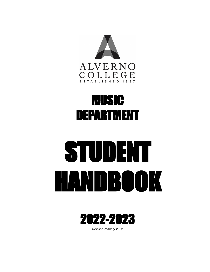

# MUSIC DEPARTMENT

# STUDENT HANDBOOK



*Revised January 2022*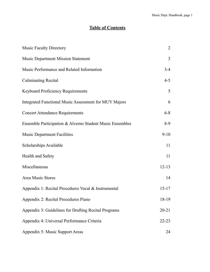# **Table of Contents**

| <b>Music Faculty Directory</b>                           | $\overline{2}$ |
|----------------------------------------------------------|----------------|
| <b>Music Department Mission Statement</b>                | 3              |
| Music Performance and Related Information                | $3-4$          |
| <b>Culminating Recital</b>                               | $4 - 5$        |
| <b>Keyboard Proficiency Requirements</b>                 | 5              |
| Integrated Functional Music Assessment for MUY Majors    | 6              |
| <b>Concert Attendance Requirements</b>                   | $6 - 8$        |
| Ensemble Participation & Alverno Student Music Ensembles | $8-9$          |
| <b>Music Department Facilities</b>                       | $9-10$         |
| Scholarships Available                                   | 11             |
| <b>Health and Safety</b>                                 | 11             |
| Miscellaneous                                            | $12 - 13$      |
| Area Music Stores                                        | 14             |
| Appendix 1: Recital Procedures Vocal & Instrumental      | $15 - 17$      |
| Appendix 2: Recital Procedures Piano                     | 18-19          |
| Appendix 3: Guidelines for Drafting Recital Programs     | $20 - 21$      |
| Appendix 4: Universal Performance Criteria               | $22 - 23$      |
| Appendix 5: Music Support Areas                          | 24             |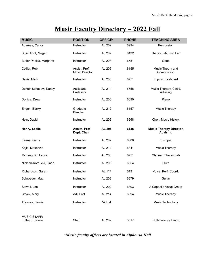# **Music Faculty Directory – 2022 Fall**

| <b>MUSIC</b>                           | <b>POSITION</b>                        | <b>OFFICE*</b> | <b>PHONE</b> | <b>TEACHING AREA</b>                              |
|----------------------------------------|----------------------------------------|----------------|--------------|---------------------------------------------------|
| Adames, Carlos                         | Instructor                             | AL 202         | 6994         | Percussion                                        |
| Buschkopf, Megan                       | Instructor                             | AL 202         | 6132         | Theory Lab, Inst. Lab                             |
| Butler-Padilla, Margaret               | Instructor                             | AL 203         | 6581         | Oboe                                              |
| Collier, Rob                           | Assist. Prof.<br><b>Music Director</b> | AL 206         | 6155         | Music Theory and<br>Composition                   |
| Davis, Mark                            | Instructor                             | AL 203         | 6751         | Improv. Keyboard                                  |
| Dexter-Schabow, Nancy                  | Assistant<br>Professor                 | AL 214         | 6756         | Music Therapy, Clinic,<br>Advising                |
| Donica, Drew                           | Instructor                             | AL 203         | 6890         | Piano                                             |
| Engen, Becky                           | Graduate<br>Director                   | AL 212         | 6157         | Music Therapy                                     |
| Hein, David                            | Instructor                             | AL 202         | 6968         | Choir, Music History                              |
| Henry, Leslie                          | <b>Assist, Prof</b><br>Dept. Chair     | <b>AL 208</b>  | 6135         | <b>Music Therapy Director,</b><br><b>Advising</b> |
| Keene, Gerry                           | Instructor                             | AL 202         | 6808         | Trumpet                                           |
| Kojis, Makenzie                        | Instructor                             | AL 214         | 6841         | Music Therapy                                     |
| McLaughlin, Laura                      | Instructor                             | AL 203         | 6751         | Clarinet, Theory Lab                              |
| Nielsen-Korducki, Linda                | Instructor                             | AL 203         | 6854         | Flute                                             |
| Richardson, Sarah                      | Instructor                             | AL 117         | 6131         | Voice, Perf. Coord.                               |
| Schroeder, Matt                        | Instructor                             | AL 203         | 6879         | Guitar                                            |
| Stovall, Lee                           | Instructor                             | AL 202         | 6893         | A Cappella Vocal Group                            |
| Stryck, Mary                           | Adj. Prof                              | AL 214         | 6894         | Music Therapy                                     |
| Thomas, Bernie                         | Instructor                             | Virtual        |              | Music Technology                                  |
|                                        |                                        |                |              |                                                   |
| <b>MUSIC STAFF:</b><br>Kolberg, Jessie | Staff                                  | AL 202         | 3617         | Collaborative Piano                               |

*\*Music faculty offices are located in Alphonsa Hall*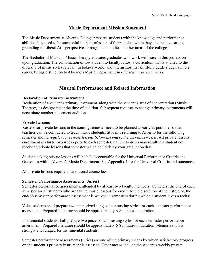#### **Music Department Mission Statement**

The Music Department at Alverno College prepares students with the knowledge and performance abilities they need to be successful in the profession of their choice, while they also receive strong grounding in Liberal Arts perspectives through their studies in other areas of the college.

The Bachelor of Music in Music Therapy educates graduates who work with ease in this profession upon graduation. The combination of low student to faculty ratios, a curriculum that is attuned to the diversity of music styles relevant in today's world, and internships that skillfully guide students into a career, brings distinction to Alverno's Music Department in offering *music that works*.

#### **Musical Performance and Related Information**

#### **Declaration of Primary Instrument**

Declaration of a student's primary instrument, along with the student's area of concentration (Music Therapy), is designated at the time of audition. Subsequent requests to change primary instruments will necessitate another placement audition.

#### **Private Lessons**

Rosters for private lessons in the coming semester need to be planned as early as possible so that teachers can be contracted to teach music students. Students returning to Alverno for the following semester should *register for private lessons before the end of the current semester*. All private lessons enrollment is **closed** two weeks prior to each semester. Failure to do so may result in a student not receiving private lessons that semester which could delay your graduation date.

Students taking private lessons will be held accountable for the Universal Performance Criteria and Outcomes within Alverno's Music Department. See Appendix 4 for the Universal Criteria and outcomes.

All private lessons require an additional course fee.

#### **Semester Performance Assessments (Juries)**

Semester performance assessments, attended by at least two faculty members, are held at the end of each semester for all students who are taking music lessons for credit. At the discretion of the instructor, the end-of-semester performance assessment is waived in semesters during which a student gives a recital.

Voice students shall prepare two memorized songs of contrasting styles for each semester performance assessment. Prepared literature should be approximately 6-8 minutes in duration.

Instrumental students shall prepare two pieces of contrasting styles for each semester performance assessment. Prepared literature should be approximately 6-8 minutes in duration. Memorization is strongly encouraged for instrumental students.

Semester performance assessments (juries) are one of the primary means by which satisfactory progress on the student's primary instrument is assessed. Other means include the student's weekly private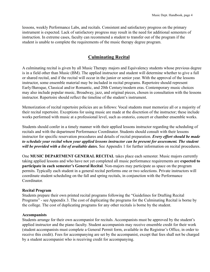lessons, weekly Performance Labs, and recitals. Consistent and satisfactory progress on the primary instrument is expected. Lack of satisfactory progress may result in the need for additional semesters of instruction. In extreme cases, faculty can recommend a student to transfer out of the program if the student is unable to complete the requirements of the music therapy degree program.

#### **Culminating Recital**

A culminating recital is given by all Music Therapy majors and Equivalency students whose previous degree is in a field other than Music (BM). The applied instructor and student will determine whether to give a full or shared recital, and if the recital will occur in the junior or senior year. With the approval of the lessons instructor, some ensemble material may be included in recital programs. Repertoire should represent Early/Baroque, Classical and/or Romantic, and 20th Century/modern eras. Contemporary music choices may also include popular music, Broadway, jazz, and original pieces, chosen in consultation with the lessons instructor. Repertoire should reflect the timeline of the student's instrument.

Memorization of recital repertoire policies are as follows: Vocal students must memorize all or a majority of their recital repertoire. Exceptions for using music are made at the discretion of the instructor; these include works performed with music at a professional level, such as oratorio, concert or chamber ensemble works.

Students should confer in a timely manner with their applied lessons instructor regarding the scheduling of recitals and with the department Performance Coordinator. Students should consult with their lessons instructor for specific reservation procedures and details of recital preparation. *Every effort should be made to schedule your recital when your applied lessons instructor can be present for assessment. The student will be provided with a list of available dates.* See Appendix 1 for further information on recital procedures.

One **MUSIC DEPARTMENT GENERAL RECITAL** takes place each semester. Music majors currently taking applied lessons and who have not yet completed all music performance requirements are **expected to participate in each semester's General Recital**. Non-majors may participate as space on the program permits. Typically each student in a general recital performs one or two selections. Private instructors will coordinate student scheduling on the fall and spring recitals, in conjunction with the Performance Coordinator.

#### **Recital Program**

Students prepare their own printed recital programs following the "Guidelines for Drafting Recital Programs" - see Appendix 3. The cost of duplicating the programs for the Culminating Recital is borne by the college. The cost of duplicating programs for any other recitals is borne by the student.

#### **Accompanists**

Students arrange for their own accompanist for recitals. Accompanists must be approved by the student's applied instructor and the piano faculty. Student accompanists may receive ensemble credit for their work (student accompanists must complete a General Permit form, available in the Registrar's Office, in order to receive this credit). Fees for accompanying are set by the accompanist, except that fees shall not be charged by a student accompanist who is receiving credit for accompanying.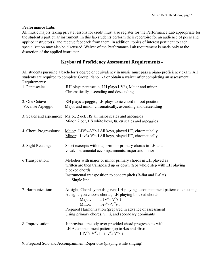#### **Performance Labs**

All music majors taking private lessons for credit must also register for the Performance Lab appropriate for the student's particular instrument. In this lab students perform their repertoire for an audience of peers and applied instructor(s) and receive feedback from them. In addition, topics of interest pertinent to each specialization may also be discussed. Waiver of the Performance Lab requirement is made only at the discretion of the applied instructor.

#### **Keyboard Proficiency Assessment Requirements -**

All students pursuing a bachelor's degree or equivalency in music must pass a piano proficiency exam. All students are required to complete Group Piano 1-3 or obtain a waiver after completing an assessment. Requirements:

| 1. Pentascales:                     | RH plays pentascale, LH plays I- $V^{\omega_{5}}$ , Major and minor<br>Chromatically, ascending and descending                                                                                                                                                                                                                           |
|-------------------------------------|------------------------------------------------------------------------------------------------------------------------------------------------------------------------------------------------------------------------------------------------------------------------------------------------------------------------------------------|
| 2. One Octave<br>Vocalise Arpeggio: | RH plays arpeggio, LH plays tonic chord in root position<br>Major and minor, chromatically, ascending and descending                                                                                                                                                                                                                     |
|                                     | 3. Scales and arpeggios: Major, 2 oct, HS all major scales and arpeggios<br>Minor, 2 oct, HS white keys, $f#$ , $c#$ scales and arpeggios                                                                                                                                                                                                |
| 4. Chord Progressions:              | Major: I-IV <sup>6/</sup> 4-V <sup>6/</sup> 5-I All keys, played HT, chromatically,<br>Minor: i-iv <sup>6/</sup> 4-V <sup>6/</sup> 5-i All keys, played HT, chromatically,                                                                                                                                                               |
| 5. Sight Reading:                   | Short excerpts with major/minor primary chords in LH and<br>vocal/instrumental accompaniments, major and minor                                                                                                                                                                                                                           |
| 6 Transposition:                    | Melodies with major or minor primary chords in LH played as<br>written are then transposed up or down $\frac{1}{2}$ or whole step with LH playing<br>blocked chords<br>Instrumental transposition to concert pitch (B-flat and E-flat)<br>Single line                                                                                    |
| 7. Harmonization:                   | At sight, Chord symbols given; LH playing accompaniment pattern of choosing<br>At sight, you choose chords; LH playing blocked chords<br>$I-IV^{6/4}-V^{6/5}-I$<br>Major:<br>Minor: $i - i v^{6/4} - V^{6/5} - i$<br>Prepared Harmonization (prepared in advance of assessment)<br>Using primary chords, vi, ii, and secondary dominants |
| 8. Improvisation:                   | Improvise a melody over provided chord progressions with<br>LH Accompaniment pattern (up to 4#s and 4bs):<br>I-IV <sup>6/</sup> 4-V <sup>6/</sup> 5-I; i-iv <sup>6/</sup> 4-V <sup>6/</sup> 5-i                                                                                                                                          |

9. Prepared Solo and Accompaniment Repertoire (playing while singing)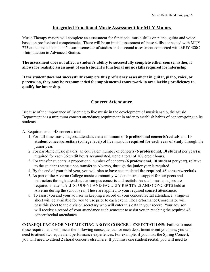#### **Integrated Functional Music Assessment for MUY Majors**

Music Therapy majors will complete an assessment for functional music skills on piano, guitar and voice based on professional competencies. There will be an initial assessment of these skills connected with MUY 273 at the end of a student's fourth semester of studies and a second assessment connected with MUY 480C - Introduction to Advanced Studies.

**The assessment does not affect a student's ability to successfully complete either course, rather, it allows for realistic assessment of each student's functional music skills required for internship.**

**If the student does not successfully complete this proficiency assessment in guitar, piano, voice, or percussion, they may be recommended for supplemental coursework in area lacking proficiency to qualify for internship.**

#### **Concert Attendance**

Because of the importance of listening to live music in the development of musicianship, the Music Department has a minimum concert attendance requirement in order to establish habits of concert-going in its students.

- A. Requirements 48 concerts total
	- 1. For full-time music majors, attendance at a minimum of **6 professional concerts/recitals** and **10 student concerts/recitals** (college level) of live music is **required for each year of study** through the junior year.
	- 2. For part-time music majors, an equivalent number of concerts (**6 professional**, **10 student** per year) is required for each 36 credit hours accumulated, up to a total of 108 credit hours.
	- 3. For transfer students, a proportional number of concerts (**6 professional, 10 student** per year), relative to the student's status upon transfer to Alverno, through the junior year is required.
	- 4. By the end of your third year, you will plan to have accumulated **the required 48 concerts/recitals**.
	- 5. As part of the Alverno College music community we demonstrate support for our peers and instructors through attendance at campus concerts and recitals. As such, music majors are required to attend ALL STUDENT AND FACULTY RECITALS AND CONCERTS held at Alverno during the school year. These are applied to your required concert attendance.
	- 6. To assist you and your advisor in keeping a record of your concert/recital attendance, a sign-in sheet will be available for you to use prior to each event. The Performance Coordinator will pass this sheet to the division secretary who will enter this data in your record. Your advisor will receive a record of your attendance each semester to assist you in reaching the required 48 concert/recital attendance.

**CONSEQUENCE FOR NOT MEETING ABOVE CONCERT EXPECTATIONS:** Failure to meet these requirements will incur the following consequence: for each department event you miss, you will need to attend two equivalent performance experiences. For example, if you miss the Spring Concert, you will need to attend 2 choral concerts elsewhere. If you miss one student recital, you will need to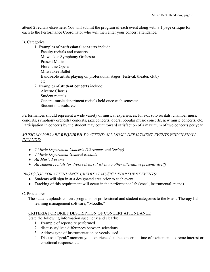attend 2 recitals elsewhere. You will submit the program of each event along with a 1 page critique for each to the Performance Coordinator who will then enter your concert attendance.

#### B. Categories

1. Examples of **professional concerts** include:

Faculty recitals and concerts Milwaukee Symphony Orchestra Present Music Florentine Opera Milwaukee Ballet Bands/solo artists playing on professional stages (festival, theater, club) etc. 2. Examples of **student concerts** include: Alverno Chorus

Student recitals General music department recitals held once each semester

Student musicals, etc.

Performances should represent a wide variety of musical experiences, for ex., solo recitals, chamber music concerts, symphony orchestra concerts, jazz concerts, opera, popular music concerts, new music concerts, etc. Participation in concerts by the student may count toward satisfaction of a maximum of two concerts per year.

#### *MUSIC MAJORS ARE REQUIRED TO ATTEND ALL MUSIC DEPARTMENT EVENTS WHICH SHALL INCLUDE:*

- *2 Music Department Concerts (Christmas and Spring)*
- *2 Music Department General Recitals*
- *● All Music Forums*
- *All student recitals (or dress rehearsal when no other alternative presents itself)*

#### *PROTOCOL FOR ATTENDANCE CREDIT AT MUSIC DEPARTMENT EVENTS:*

- Students will sign in at a designated area prior to each event
- Tracking of this requirement will occur in the performance lab (vocal, instrumental, piano)

#### C. Procedure:

The student uploads concert programs for professional and student categories to the Music Therapy Lab learning management software, "Moodle."

#### CRITERIA FOR BRIEF DESCRIPTION OF CONCERT ATTENDANCE

State the following information succinctly and clearly:

- 1. Example of repertoire performed
- 2. discuss stylistic differences between selections
- 3. Address type of instrumentation or vocals used
- 4. Discuss a "peak" moment you experienced at the concert: a time of excitement, extreme interest or emotional response, etc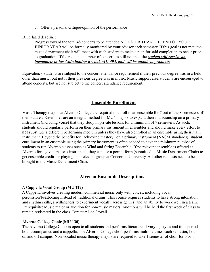5. Offer a personal critique/opinion of the performance

D. Related deadline:

Progress toward the total 48 concerts to be attended NO LATER THAN THE END OF YOUR JUNIOR YEAR will be formally monitored by your advisor each semester. If this goal is not met, the music department chair will meet with each student to make a plan for said completion to occur prior to graduation. If the requisite number of concerts is still not met, the *student will receive an incomplete in her Culminating Recital, MU-495, and will be unable to graduate.*

Equivalency students are subject to the concert attendance requirement if their previous degree was in a field other than music, but not if their previous degree was in music. Music support area students are encouraged to attend concerts, but are not subject to the concert attendance requirement.

#### **Ensemble Enrollment**

Music Therapy majors at Alverno College are required to enroll in an ensemble for 7 out of the 8 semesters of their studies. Ensembles are an integral method for MUY majors to expand their musicianship on a primary instrument (including voice) that they study in private lessons for a minimum of 7 semesters. As such, students should regularly perform on their primary instrument in ensembles and should make every effort to **not** substitute a different performing medium unless they have also enrolled in an ensemble using their main instrument. Beyond the benefits for "achieving mastery" on a primary instrument (NASM standards), student enrollment in an ensemble using the primary instrument is often needed to have the minimum number of students to run Alverno classes such as Wind and String Ensemble. If no relevant ensemble is offered at Alverno for a given major's instrument, they can use a permit form (submitted to Music Department Chair) to get ensemble credit for playing in a relevant group at Concordia University. All other requests need to be brought to the Music Department Chair.

#### **Alverno Ensemble Descriptions**

#### **A Cappella Vocal Group (MU 129)**

A Cappella involves creating modern commercial music only with voices, including vocal percussion/beatboxing instead of traditional drums. This course requires students to have strong intonation and rhythm skills, a willingness to experiment vocally across genres, and an ability to work well in a team. Prerequisite: Music major or audition for non-music majors. Auditions will be held the first week of class to remain registered in the class. Director: Lee Stovall

#### **Alverno College Choir (MU 130)**

The Alverno College Choir is open to all students and performs literature of varying styles and time periods, both accompanied and a cappella. The Alverno College choir performs multiple times each semester, both on and off campus. Non-vocalist music therapy majors are required to take 1 semester of choir for 0 or 1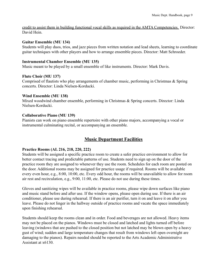credit to assist them in building functional vocal skills as required in the AMTA Competencies. Director: David Hein.

#### **Guitar Ensemble (MU 134)**

Students will play duos, trios, and jazz pieces from written notation and lead sheets, learning to coordinate guitar techniques with other players and how to arrange ensemble pieces. Director: Matt Schroeder.

#### **Instrumental Chamber Ensemble (MU 135)**

Music meant to be played by a small ensemble of like instruments. Director: Mark Davis.

#### **Flute Choir (MU 137)**

Comprised of flautists who play arrangements of chamber music, performing in Christmas & Spring concerts. Director: Linda Nielsen-Korducki.

#### **Wind Ensemble (MU 138)**

Mixed woodwind chamber ensemble, performing in Christmas & Spring concerts. Director: Linda Nielsen-Korducki.

#### **Collaborative Piano (MU 139)**

Pianists can work on piano ensemble repertoire with other piano majors, accompanying a vocal or instrumental culminating recital, or accompanying an ensemble.

#### **Music Department Facilities**

#### **Practice Rooms (AL 216, 218, 220, 222)**

Students will be assigned a specific practice room to create a safer practice environment to allow for better contact tracing and predictable patterns of use. Students need to sign up on the door of the practice room they are assigned to whenever they use the room. Schedules for each room are posted on the door. Additional rooms may be assigned for practice usage if required. Rooms will be available every even hour, e.g., 8:00, 10:00, etc. Every odd hour, the rooms will be unavailable to allow for room air rest and recirculation, e.g., 9:00, 11:00, etc. Please do not use during these times.

Gloves and sanitizing wipes will be available in practice rooms, please wipe down surfaces like piano and music stand before and after use. If the window opens, please open during use. If there is an air conditioner, please use during rehearsal. If there is an air purifier, turn it on and leave it on after you leave. Please do not linger in the hallway outside of practice rooms and vacate the space immediately upon finishing rehearsal.

Students should keep the rooms clean and in order. Food and beverages are not allowed. Heavy items may not be placed on the pianos. Windows must be closed and latched and lights turned off before leaving (windows that are pushed to the closed position but not latched may be blown open by a heavy gust of wind; sudden and large temperature changes that result from windows left open overnight are damaging to the pianos). Repairs needed should be reported to the Arts Academic Administrative Assistant at x6130.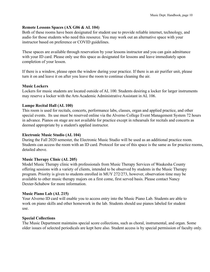#### **Remote Lessons Spaces (AX G06 & AL 104)**

Both of these rooms have been designated for student use to provide reliable internet, technology, and audio for those students who need this resource. You may work out an alternative space with your instructor based on preference or COVID guidelines.

These spaces are available through reservation by your lessons instructor and you can gain admittance with your ID card. Please only use this space as designated for lessons and leave immediately upon completion of your lesson.

If there is a window, please open the window during your practice. If there is an air purifier unit, please turn it on and leave it on after you leave the room to continue cleaning the air.

#### **Music Lockers**

Lockers for music students are located outside of AL 100. Students desiring a locker for larger instruments may reserve a locker with the Arts Academic Administrative Assistant in AL 106.

#### **Lampe Recital Hall (AL 100)**

This room is used for recitals, concerts, performance labs, classes, organ and applied practice, and other special events. Its use must be reserved online via the Alverno College Event Management System 72 hours in advance. Pianos on stage are not available for practice except in rehearsals for recitals and concerts as deemed appropriate by a student's applied instructor.

#### **Electronic Music Studio (AL 104)**

During the Fall 2020 semester, the Electronic Music Studio will be used as an additional practice room. Students can access the room with an ID card. Protocol for use of this space is the same as for practice rooms, detailed above.

#### **Music Therapy Clinic (AL 205)**

Model Music Therapy clinic with professionals from Music Therapy Services of Waukesha County offering sessions with a variety of clients, intended to be observed by students in the Music Therapy program. Priority is given to students enrolled in MUY 272/273, however, observation time may be available to other music therapy majors on a first come, first served basis. Please contact Nancy Dexter-Schabow for more information.

#### **Music Piano Lab (AL 215)**

Your Alverno ID card will enable you to access entry into the Music Piano Lab. Students are able to work on piano skills and other homework in the lab. Students should use pianos labeled for student use.

#### **Special Collections**

The Music Department maintains special score collections, such as choral, instrumental, and organ. Some older issues of selected periodicals are kept here also. Student access is by special permission of faculty only.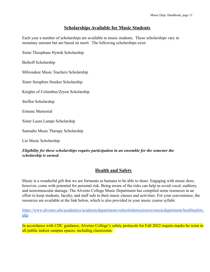#### **Scholarships Available for Music Students**

Each year a number of scholarships are available to music students. These scholarships vary in monetary amount but are based on merit. The following scholarships exist:

Sister Theophane Hytrek Scholarship

Beihoff Scholarship

Milwaukee Music Teachers Scholarship

Sister Seraphim Stoeker Scholarship

Knights of Columbus/Zeyen Scholarship

Steffen Scholarship

Ermenc Memorial

Sister Laura Lampe Scholarship

Samudio Music Therapy Scholarship

Liu Music Scholarship

#### *Eligibility for these scholarships require participation in an ensemble for the semester the scholarship is earned.*

#### **Health and Safety**

Music is a wonderful gift that we are fortunate as humans to be able to share. Engaging with music does, however, come with potential for personal risk. Being aware of the risks can help us avoid vocal, auditory, and neuromuscular damage. The Alverno College Music Department has compiled some resources in an effort to keep students, faculty, and staff safe in their music classes and activities. For your convenience, the resources are available at the link below, which is also provided in your music course syllabi.

[https://www.alverno.edu/academics/academicdepartments/schoolofartssciences/musicdepartment/healthsafety.](https://www.alverno.edu/academics/academicdepartments/schoolofartssciences/musicdepartment/healthsafety.php) [php](https://www.alverno.edu/academics/academicdepartments/schoolofartssciences/musicdepartment/healthsafety.php)

In accordance with CDC guidance, Alverno College's safety protocols for Fall 2022 require masks be worn in all public indoor campus spaces, including classrooms.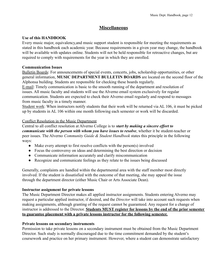#### **Miscellaneous**

#### **Use of this HANDBOOK**

Every music major, equivalency,and music support student is responsible for meeting the requirements as stated in this handbook each academic year. Because requirements in a given year may change, the handbook will be available with updates online. Students will not be held responsible for retroactive changes, but are required to comply with requirements for the year in which they are enrolled.

#### **Communication Issues**

Bulletin Boards: For announcements of special events, concerts, jobs, scholarship opportunities, or other general information, **MUSIC DEPARTMENT BULLETIN BOARDS** are located on the second floor of the Alphonsa building. Students are responsible for checking these boards regularly.

E-mail: Timely communication is basic to the smooth running of the department and resolution of issues. All music faculty and students will use the Alverno email system exclusively for regular communication. Students are expected to check their Alverno email regularly and respond to messages from music faculty in a timely manner.

Student work: When instructors notify students that their work will be returned via AL 106, it must be picked up by students in AL 106 within one month following each semester or work will be discarded.

#### Conflict Resolution in the Music Department

Central to all conflict resolution at Alverno College is to *start by making a sincere effort to communicate with the person with whom you have issues to resolve*, whether it be student-teacher or peer issues. The Alverno *Community Guide & Student Handbook* states this principle in the following ways:

- Make every attempt to first resolve conflicts with the person(s) involved
- Focus the controversy on ideas and determining the best direction or decision
- Communicate information accurately and clarify miscommunication
- Recognize and communicate feelings as they relate to the issues being discussed

Generally, complaints are handled within the departmental area with the staff member most directly involved. If the student is dissatisfied with the outcome of that meeting, she may appeal the issue through the department director (either Music Chair or Arts Associate Dean).

#### **Instructor assignment for private lessons**

The Music Department Director makes all applied instructor assignments. Students entering Alverno may request a particular applied instructor, if desired, and the *Director* will take into account such requests when making assignments, although granting of the request cannot be guaranteed. Any request for a change of instructor is addressed to the Director. **Students MUST register for lessons by the end of the prior semester to guarantee placement with a private lessons instructor for the following semester.**

#### **Private lessons on secondary instruments**

Permission to take private lessons on a secondary instrument must be obtained from the Music Department Director. Such study is normally discouraged due to the time commitment demanded by the student's coursework and practice on her primary instrument. However, where a student can demonstrate satisfactory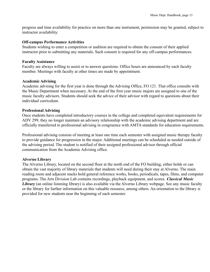progress and time availability for practice on more than one instrument, permission may be granted, subject to instructor availability.

#### **Off-campus Performance Activities**

Students wishing to enter a competition or audition are required to obtain the consent of their applied instructor prior to submitting any materials. Such consent is required for any off-campus performances.

#### **Faculty Assistance**

Faculty are always willing to assist or to answer questions. Office hours are announced by each faculty member. Meetings with faculty at other times are made by appointment.

#### **Academic Advising**

Academic advising for the first year is done through the Advising Office, FO 121. That office consults with the Music Department when necessary. At the end of the first year music majors are assigned to one of the music faculty advisors. Students should seek the advice of their advisor with regard to questions about their individual curriculum.

#### **Professional Advising**

Once students have completed introductory courses in the college and completed equivalent requirements for ADV 299, they no longer maintain an advisory relationship with the academic advising department and are officially transferred to professional advising in congruence with AMTA standards for education requirements.

Professional advising consists of meeting at least one time each semester with assigned music therapy faculty to provide guidance for progression in the major. Additional meetings can be scheduled as needed outside of the advising period. The student is notified of their assigned professional advisor through official communication from the Academic Advising office.

#### **Alverno Library**

The Alverno Library, located on the second floor at the north end of the FO building, either holds or can obtain the vast majority of library materials that students will need during their stay at Alverno. The main reading room and adjacent stacks hold general reference works, books, periodicals, tapes, films, and computer programs. The Arts Division Lab contains recordings, playback equipment, and scores. *Classical Music Library* (an online listening library) is also available via the Alverno Library webpage. See any music faculty or the library for further information on this valuable resource, among others. An orientation to the library is provided for new students near the beginning of each semester.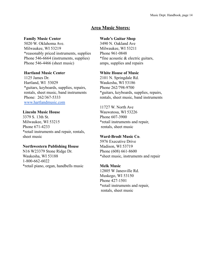#### **Area Music Stores:**

#### **Family Music Center**

5020 W. Oklahoma Ave. Milwaukee, WI 53219 \*reasonably priced instruments, supplies Phone 546-6664 (instruments, supplies) Phone 546-4466 (sheet music)

#### **Hartland Music Center**

1125 James Dr. Hartland, WI 53029 \*guitars, keyboards, supplies, repairs, rentals, sheet music, band instruments Phone: 262/367-5333 [www.hartlandmusic.com](http://www.hartlandmusic.com)

#### **Lincoln Music House**

3379 S. 13th St. Milwaukee, WI 53215 Phone 671-4233 \*retail instruments and repair, rentals, sheet music

#### **Northwestern Publishing House**

N16 W23379 Stone Ridge Dr. Waukesha, WI 53188 1-800-662-6022 \*retail piano, organ, handbells music

#### **Wade's Guitar Shop**

3490 N. Oakland Ave Milwaukee, WI 53211 Phone 961-0848 \*fine acoustic & electric guitars, amps, supplies and repairs

#### **White House of Music**

2101 N. Springdale Rd. Waukesha, WI 53186 Phone 262/798-9700 \*guitars, keyboards, supplies, repairs, rentals, sheet music, band instruments

11727 W. North Ave Wauwatosa, WI 53226 Phone 607-3900 \*retail instruments and repair, rentals, sheet music

#### **Ward-Brodt Music Co**.

5976 Executive Drive Madison, WI 53719 Phone (608) 661-8600 \*sheet music, instruments and repair

#### **Melk Music**

12805 W Janesville Rd. Muskego, WI 53150 Phone 427-1501 \*retail instruments and repair, rentals, sheet music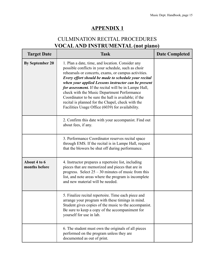# CULMINATION RECITAL PROCEDURES **VOCALAND INSTRUMENTAL (not piano)**

| <b>Target Date</b>            | <b>Task</b>                                                                                                                                                                                                                                                                                                                                                                                                                                                                                                                                            | <b>Date Completed</b> |
|-------------------------------|--------------------------------------------------------------------------------------------------------------------------------------------------------------------------------------------------------------------------------------------------------------------------------------------------------------------------------------------------------------------------------------------------------------------------------------------------------------------------------------------------------------------------------------------------------|-----------------------|
| <b>By September 20</b>        | 1. Plan a date, time, and location. Consider any<br>possible conflicts in your schedule, such as choir<br>rehearsals or concerts, exams, or campus activities.<br>Every effort should be made to schedule your recital<br>when your applied Lessons instructor can be present<br>for assessment. If the recital will be in Lampe Hall,<br>check with the Music Department Performance<br>Coordinator to be sure the hall is available; if the<br>recital is planned for the Chapel, check with the<br>Facilities Usage Office (6039) for availability. |                       |
|                               | 2. Confirm this date with your accompanist. Find out<br>about fees, if any.                                                                                                                                                                                                                                                                                                                                                                                                                                                                            |                       |
|                               | 3. Performance Coordinator reserves recital space<br>through EMS. If the recital is in Lampe Hall, request<br>that the blowers be shut off during performance.                                                                                                                                                                                                                                                                                                                                                                                         |                       |
| About 4 to 6<br>months before | 4. Instructor prepares a repertoire list, including<br>pieces that are memorized and pieces that are in<br>progress. Select $25 - 30$ minutes of music from this<br>list, and note areas where the program is incomplete<br>and new material will be needed.                                                                                                                                                                                                                                                                                           |                       |
|                               | 5. Finalize recital repertoire. Time each piece and<br>arrange your program with these timings in mind.<br>Student gives copies of the music to the accompanist.<br>Be sure to keep a copy of the accompaniment for<br>yourself for use in lab.                                                                                                                                                                                                                                                                                                        |                       |
|                               | 6. The student must own the originals of all pieces<br>performed on the program unless they are<br>documented as out of print.                                                                                                                                                                                                                                                                                                                                                                                                                         |                       |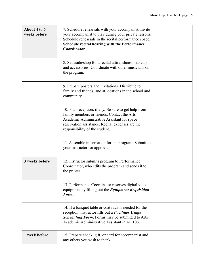| About 4 to 6<br>weeks before | 7. Schedule rehearsals with your accompanist. Invite<br>your accompanist to play during your private lessons.<br>Schedule rehearsals in the recital performance space.<br>Schedule recital hearing with the Performance<br>Coordinator.  |  |
|------------------------------|------------------------------------------------------------------------------------------------------------------------------------------------------------------------------------------------------------------------------------------|--|
|                              | 8. Set aside/shop for a recital attire, shoes, makeup,<br>and accessories. Coordinate with other musicians on<br>the program.                                                                                                            |  |
|                              | 9. Prepare posters and invitations. Distribute to<br>family and friends, and at locations in the school and<br>community.                                                                                                                |  |
|                              | 10. Plan reception, if any. Be sure to get help from<br>family members or friends. Contact the Arts<br>Academic Administrative Assistant for space<br>reservation assistance. Recital expenses are the<br>responsibility of the student. |  |
|                              | 11. Assemble information for the program. Submit to<br>your instructor for approval.                                                                                                                                                     |  |
| 3 weeks before               | 12. Instructor submits program to Performance<br>Coordinator, who edits the program and sends it to<br>the printer.                                                                                                                      |  |
|                              | 13. Performance Coordinator reserves digital video<br>equipment by filling out the Equipment Requisition<br>Form.                                                                                                                        |  |
|                              | 14. If a banquet table or coat rack is needed for the<br>reception, instructor fills out a Facilities Usage<br>Scheduling Form. Forms may be submitted to Arts<br>Academic Administrative Assistant in AL 106.                           |  |
| 1 week before                | 15. Prepare check, gift, or card for accompanist and<br>any others you wish to thank.                                                                                                                                                    |  |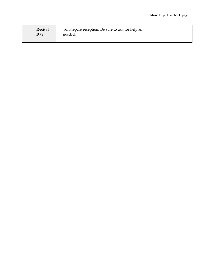| <b>Recital</b><br>Day | 16. Prepare reception. Be sure to ask for help as<br>needed. |  |
|-----------------------|--------------------------------------------------------------|--|
|-----------------------|--------------------------------------------------------------|--|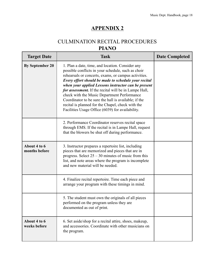# CULMINATION RECITAL PROCEDURES **PIANO**

| <b>Target Date</b>            | <b>Task</b>                                                                                                                                                                                                                                                                                                                                                                                                                                                                                                                                            | <b>Date Completed</b> |
|-------------------------------|--------------------------------------------------------------------------------------------------------------------------------------------------------------------------------------------------------------------------------------------------------------------------------------------------------------------------------------------------------------------------------------------------------------------------------------------------------------------------------------------------------------------------------------------------------|-----------------------|
| <b>By September 20</b>        | 1. Plan a date, time, and location. Consider any<br>possible conflicts in your schedule, such as choir<br>rehearsals or concerts, exams, or campus activities.<br>Every effort should be made to schedule your recital<br>when your applied Lessons instructor can be present<br>for assessment. If the recital will be in Lampe Hall,<br>check with the Music Department Performance<br>Coordinator to be sure the hall is available; if the<br>recital is planned for the Chapel, check with the<br>Facilities Usage Office (6039) for availability. |                       |
|                               | 2. Performance Coordinator reserves recital space<br>through EMS. If the recital is in Lampe Hall, request<br>that the blowers be shut off during performance.                                                                                                                                                                                                                                                                                                                                                                                         |                       |
| About 4 to 6<br>months before | 3. Instructor prepares a repertoire list, including<br>pieces that are memorized and pieces that are in<br>progress. Select $25 - 30$ minutes of music from this<br>list, and note areas where the program is incomplete<br>and new material will be needed.                                                                                                                                                                                                                                                                                           |                       |
|                               | 4. Finalize recital repertoire. Time each piece and<br>arrange your program with these timings in mind.                                                                                                                                                                                                                                                                                                                                                                                                                                                |                       |
|                               | 5. The student must own the originals of all pieces<br>performed on the program unless they are<br>documented as out of print.                                                                                                                                                                                                                                                                                                                                                                                                                         |                       |
| About 4 to 6<br>weeks before  | 6. Set aside/shop for a recital attire, shoes, makeup,<br>and accessories. Coordinate with other musicians on<br>the program.                                                                                                                                                                                                                                                                                                                                                                                                                          |                       |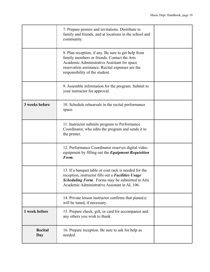|                | 7. Prepare posters and invitations. Distribute to<br>family and friends, and at locations in the school and<br>community.                                                                                                               |  |
|----------------|-----------------------------------------------------------------------------------------------------------------------------------------------------------------------------------------------------------------------------------------|--|
|                | 8. Plan reception, if any. Be sure to get help from<br>family members or friends. Contact the Arts<br>Academic Administrative Assistant for space<br>reservation assistance. Recital expenses are the<br>responsibility of the student. |  |
|                | 9. Assemble information for the program. Submit to<br>your instructor for approval.                                                                                                                                                     |  |
| 3 weeks before | 10. Schedule rehearsals in the recital performance<br>space.                                                                                                                                                                            |  |
|                | 11. Instructor submits program to Performance<br>Coordinator, who edits the program and sends it to<br>the printer.                                                                                                                     |  |
|                | 12. Performance Coordinator reserves digital video<br>equipment by filling out the Equipment Requisition<br>Form.                                                                                                                       |  |
|                | 13. If a banquet table or coat rack is needed for the<br>reception, instructor fills out a Facilities Usage<br><b>Scheduling Form.</b> Forms may be submitted to Arts<br>Academic Administrative Assistant in AL 106.                   |  |
|                | 14. Private lesson instructor confirms that $piano(s)$<br>will be tuned, if necessary.                                                                                                                                                  |  |
| 1 week before  | 15. Prepare check, gift, or card for accompanist and<br>any others you wish to thank.                                                                                                                                                   |  |
| Recital<br>Day | 16. Prepare reception. Be sure to ask for help as<br>needed.                                                                                                                                                                            |  |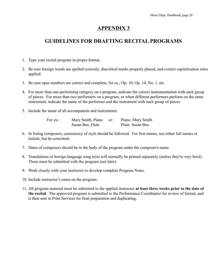# **GUIDELINES FOR DRAFTING RECITAL PROGRAMS**

- 1. Type your recital program in proper format.
- 2. Be sure foreign words are spelled correctly, diacritical marks properly placed, and correct capitalization rules applied.
- 3. Be sure opus numbers are correct and complete, for ex., Op. 10; Op. 14, No. 1, etc.
- 4. For more than one performing category on a program, indicate the correct instrumentation with each group of pieces. For more than two performers on a program, or when different performers perform on the same instrument, indicate the name of the performer and the instrument with each group of pieces.
- 5. Include the name of all accompanists and instruments.

For ex.: Mary Smith, Piano or: Piano: Mary Smith Susan Bee, Flute Flute: Susan Bee

- 6. In listing composers, consistency of style should be followed. For first names, use either full names or initials, but be consistent.
- 7. Dates of composers should be in the body of the program under the composer's name.
- 8. Translations of foreign-language song texts will normally be printed separately (unless they're very brief). These must be submitted with the program (not later).
- 9. Work closely with your instructor to develop complete Program Notes.
- 10. Include instructor's name on the program.
- 11. All program material must be submitted to the applied instructor **at least three weeks prior to the date of the recital**. The approved program is submitted to the Performance Coordinator for review of format, and is then sent to Print Services for final preparation and duplicating.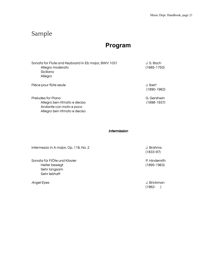# Sample

# **Program**

| Sonata for Flute and Keyboard in Eb major, BWV 1031<br>Allegro moderato<br>Siciliano<br>Allegro               | J. S. Bach<br>$(1685 - 1750)$  |
|---------------------------------------------------------------------------------------------------------------|--------------------------------|
| Pièce pour flûte seule                                                                                        | J. Ibert<br>$(1890-1962)$      |
| Preludes for Piano<br>Allegro ben ritmato e deciso<br>Andante con moto e poco<br>Allegro ben ritmato e deciso | G. Gershwin<br>$(1898 - 1937)$ |

Intermission

Intermezzo in A major, Op. 118, No. 2 J. Brahms

Sonata für FlÖte und Klavier P. Hindemith Heiter bewegt (1895-1963) Sehr langsam Sehr lebhaft

(1833-97)

Angel Eyes J. Brickman (1962- )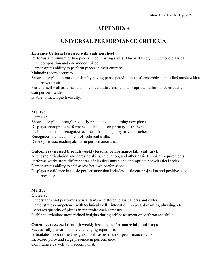# **UNIVERSAL PERFORMANCE CRITERIA**

#### **Entrance Criteria (assessed with audition sheet):**

Performs a minimum of two pieces in contrasting styles. This will likely include one classical composition and one modern piece.

Demonstrates ability to perform pieces in their entirety.

Maintains score accuracy.

Shows discipline in musicianship by having participated in musical ensembles or studied music with a private instructor.

Presents self well as a musician in concert attire and with appropriate performance etiquette. Can perform scales.

Is able to match pitch vocally.

#### **MU 175**

#### **Criteria:**

Shows discipline through regularly practicing and learning new pieces.

Displays appropriate performance techniques on primary instrument.

Is able to learn and recognize technical skills taught by private teacher.

Recognizes the development of technical skills.

Develops music reading ability in performance area.

#### **Outcomes (assessed through weekly lessons, performance lab, and jury):**

Attends to articulation and phrasing skills, intonation, and other basic technical requirements. Performs works from different eras of classical music and appropriate non-classical styles. Demonstrates ability to self-assess her own performance.

Displays confidence in music performance that includes sufficient projection and positive stage presence.

#### **MU 275**

#### **Criteria:**

Understands and performs stylistic traits of different classical eras and styles. Demonstrates competence with technical skills: intonation, project, dynamics, phrasing, etc. Increases quantity of pieces in repertoire each semester.

Is able to articulate more refined insights during self-assessment of performance skills.

#### **Outcomes (assessed through weekly lessons, performance lab, and jury):**

Successfully performs more challenging repertoire.

Articulates more refined insights in self-assessment of performance skills.

Increased poise and stage presence in performance.

Communicates well with accompanist.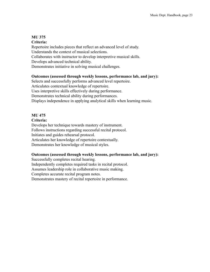#### **MU 375 Criteria:**

Repertoire includes pieces that reflect an advanced level of study. Understands the context of musical selections. Collaborates with instructor to develop interpretive musical skills. Develops advanced technical ability. Demonstrates initiative in solving musical challenges.

#### **Outcomes (assessed through weekly lessons, performance lab, and jury):**

Selects and successfully performs advanced level repertoire. Articulates contextual knowledge of repertoire. Uses interpretive skills effectively during performance. Demonstrates technical ability during performances. Displays independence in applying analytical skills when learning music.

#### **MU 475**

#### **Criteria:**

Develops her technique towards mastery of instrument. Follows instructions regarding successful recital protocol. Initiates and guides rehearsal protocol. Articulates her knowledge of repertoire contextually. Demonstrates her knowledge of musical styles.

#### **Outcomes (assessed through weekly lessons, performance lab, and jury):**

Successfully completes recital hearing. Independently completes required tasks in recital protocol. Assumes leadership role in collaborative music making. Completes accurate recital program notes. Demonstrates mastery of recital repertoire in performance.